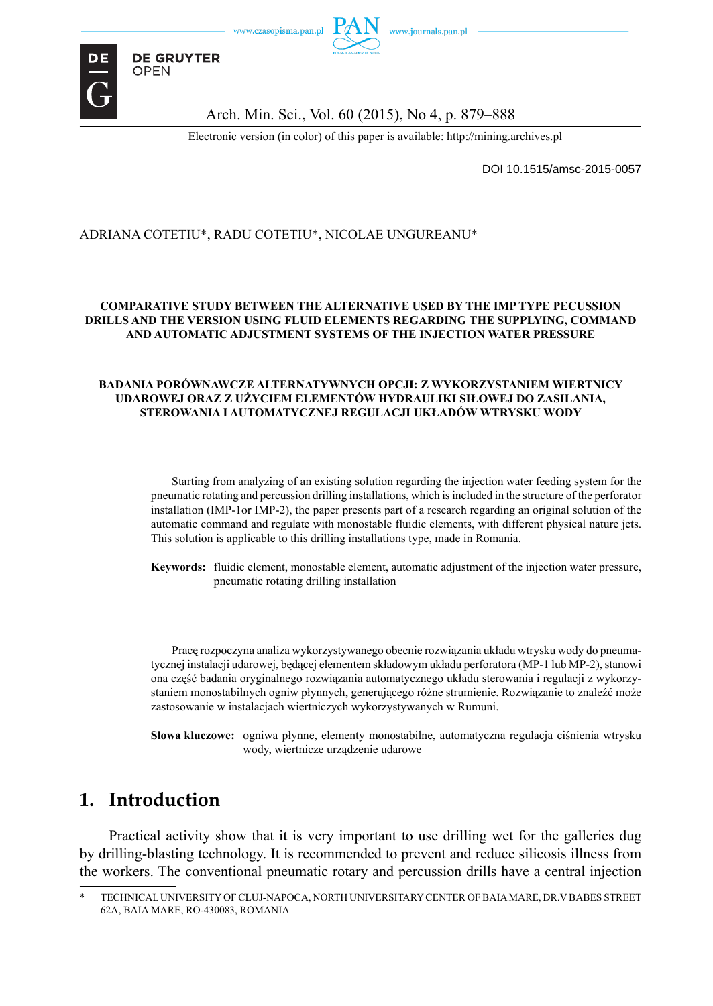



**DE GRUYTER OPEN** 

Arch. Min. Sci., Vol. 60 (2015), No 4, p. 879–888

Electronic version (in color) of this paper is available: http://mining.archives.pl

DOI 10.1515/amsc-2015-0057

### ADRIANA COTETIU\*, RADU COTETIU\*, NICOLAE UNGUREANU\*

#### **COMPARATIVE STUDY BETWEEN THE ALTERNATIVE USED BY THE IMP TYPE PECUSSION DRILLS AND THE VERSION USING FLUID ELEMENTS REGARDING THE SUPPLYING, COMMAND AND AUTOMATIC ADJUSTMENT SYSTEMS OF THE INJECTION WATER PRESSURE**

#### **BADANIA PORÓWNAWCZE ALTERNATYWNYCH OPCJI: Z WYKORZYSTANIEM WIERTNICY UDAROWEJ ORAZ Z UŻYCIEM ELEMENTÓW HYDRAULIKI SIŁOWEJ DO ZASILANIA, STEROWANIA I AUTOMATYCZNEJ REGULACJI UKŁADÓW WTRYSKU WODY**

Starting from analyzing of an existing solution regarding the injection water feeding system for the pneumatic rotating and percussion drilling installations, which is included in the structure of the perforator installation (IMP-1or IMP-2), the paper presents part of a research regarding an original solution of the automatic command and regulate with monostable fluidic elements, with different physical nature jets. This solution is applicable to this drilling installations type, made in Romania.

**Keywords:** fluidic element, monostable element, automatic adjustment of the injection water pressure, pneumatic rotating drilling installation

Pracę rozpoczyna analiza wykorzystywanego obecnie rozwiązania układu wtrysku wody do pneumatycznej instalacji udarowej, będącej elementem składowym układu perforatora (MP-1 lub MP-2), stanowi ona część badania oryginalnego rozwiązania automatycznego układu sterowania i regulacji z wykorzystaniem monostabilnych ogniw płynnych, generującego różne strumienie. Rozwiązanie to znaleźć może zastosowanie w instalacjach wiertniczych wykorzystywanych w Rumuni.

**Słowa kluczowe:** ogniwa płynne, elementy monostabilne, automatyczna regulacja ciśnienia wtrysku wody, wiertnicze urządzenie udarowe

## **1. Introduction**

Practical activity show that it is very important to use drilling wet for the galleries dug by drilling-blasting technology. It is recommended to prevent and reduce silicosis illness from the workers. The conventional pneumatic rotary and percussion drills have a central injection

<sup>\*</sup> TECHNICAL UNIVERSITY OF CLUJ-NAPOCA, NORTH UNIVERSITARY CENTER OF BAIA MARE, DR.V BABES STREET 62A, BAIA MARE, RO-430083, ROMANIA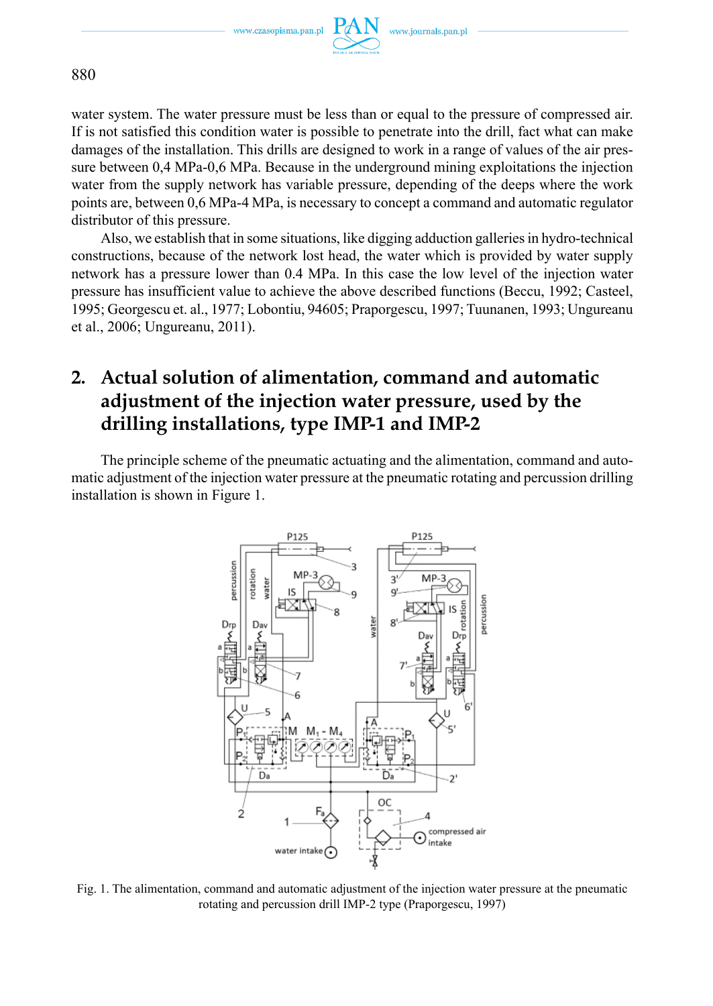www.czasopisma.pan.pl



880

water system. The water pressure must be less than or equal to the pressure of compressed air. If is not satisfied this condition water is possible to penetrate into the drill, fact what can make damages of the installation. This drills are designed to work in a range of values of the air pressure between 0,4 MPa-0,6 MPa. Because in the underground mining exploitations the injection water from the supply network has variable pressure, depending of the deeps where the work points are, between 0,6 MPa-4 MPa, is necessary to concept a command and automatic regulator distributor of this pressure.

Also, we establish that in some situations, like digging adduction galleries in hydro-technical constructions, because of the network lost head, the water which is provided by water supply network has a pressure lower than 0.4 MPa. In this case the low level of the injection water pressure has insufficient value to achieve the above described functions (Beccu, 1992; Casteel, 1995; Georgescu et. al., 1977; Lobontiu, 94605; Praporgescu, 1997; Tuunanen, 1993; Ungureanu et al., 2006; Ungureanu, 2011).

# **2. Actual solution of alimentation, command and automatic adjustment of the injection water pressure, used by the drilling installations, type IMP-1 and IMP-2**

The principle scheme of the pneumatic actuating and the alimentation, command and automatic adjustment of the injection water pressure at the pneumatic rotating and percussion drilling installation is shown in Figure 1.



Fig. 1. The alimentation, command and automatic adjustment of the injection water pressure at the pneumatic rotating and percussion drill IMP-2 type (Praporgescu, 1997)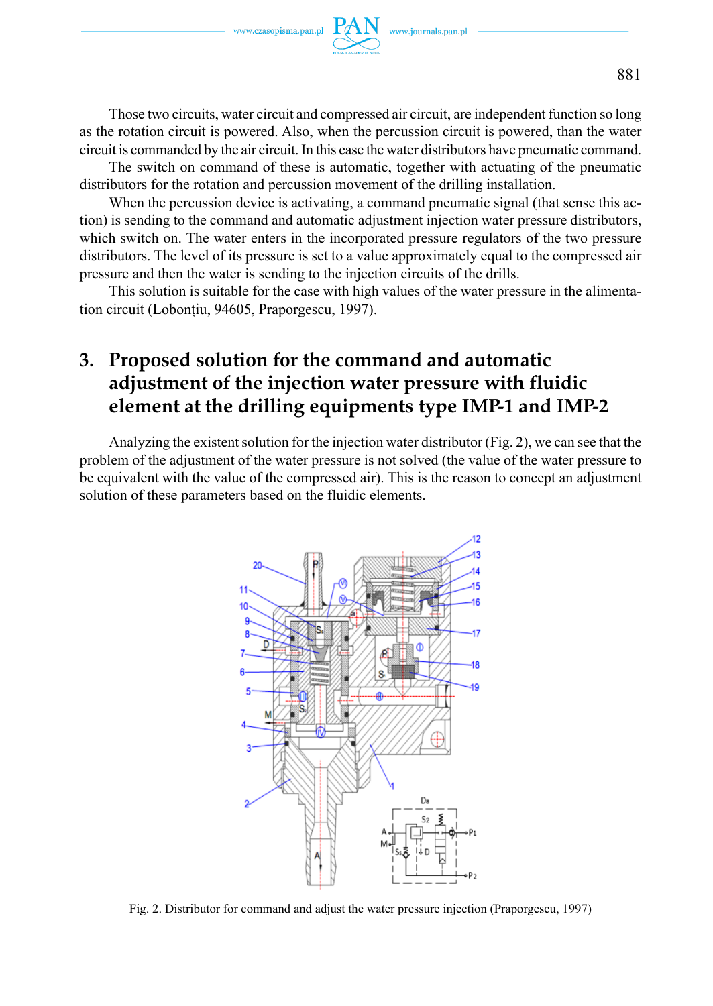

Those two circuits, water circuit and compressed air circuit, are independent function so long as the rotation circuit is powered. Also, when the percussion circuit is powered, than the water circuit is commanded by the air circuit. In this case the water distributors have pneumatic command.

The switch on command of these is automatic, together with actuating of the pneumatic distributors for the rotation and percussion movement of the drilling installation.

When the percussion device is activating, a command pneumatic signal (that sense this action) is sending to the command and automatic adjustment injection water pressure distributors, which switch on. The water enters in the incorporated pressure regulators of the two pressure distributors. The level of its pressure is set to a value approximately equal to the compressed air pressure and then the water is sending to the injection circuits of the drills.

This solution is suitable for the case with high values of the water pressure in the alimentation circuit (Lobonțiu, 94605, Praporgescu, 1997).

# **3. Proposed solution for the command and automatic adjustment of the injection water pressure with fluidic element at the drilling equipments type IMP-1 and IMP-2**

Analyzing the existent solution for the injection water distributor (Fig. 2), we can see that the problem of the adjustment of the water pressure is not solved (the value of the water pressure to be equivalent with the value of the compressed air). This is the reason to concept an adjustment solution of these parameters based on the fluidic elements.



Fig. 2. Distributor for command and adjust the water pressure injection (Praporgescu, 1997)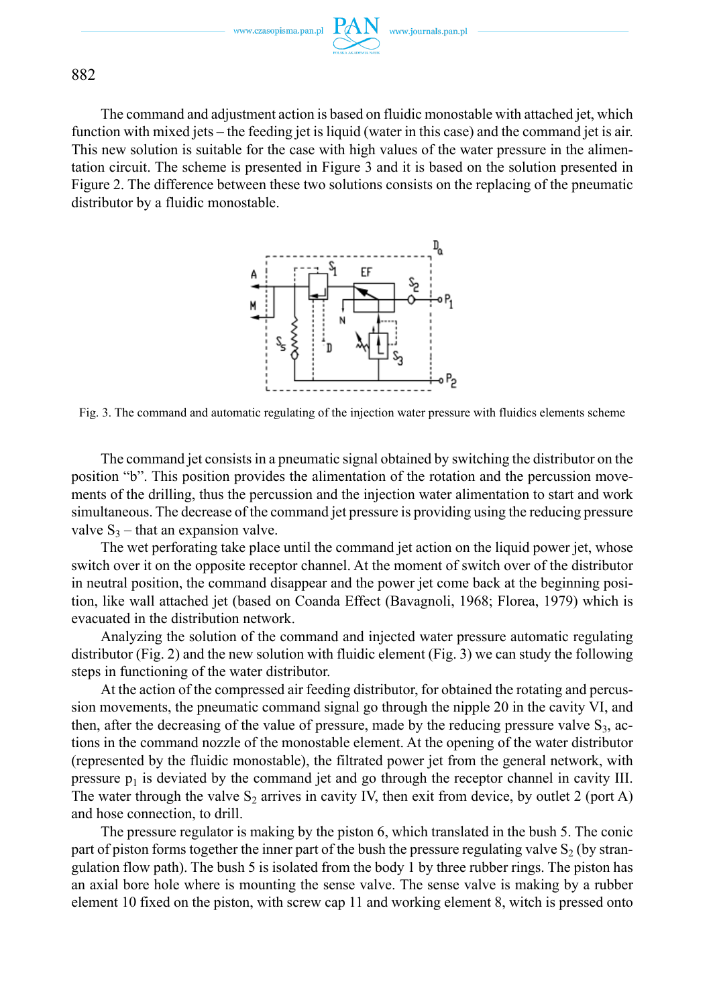882

The command and adjustment action is based on fluidic monostable with attached jet, which function with mixed jets – the feeding jet is liquid (water in this case) and the command jet is air. This new solution is suitable for the case with high values of the water pressure in the alimentation circuit. The scheme is presented in Figure 3 and it is based on the solution presented in Figure 2. The difference between these two solutions consists on the replacing of the pneumatic distributor by a fluidic monostable.



Fig. 3. The command and automatic regulating of the injection water pressure with fluidics elements scheme

The command jet consists in a pneumatic signal obtained by switching the distributor on the position "b". This position provides the alimentation of the rotation and the percussion movements of the drilling, thus the percussion and the injection water alimentation to start and work simultaneous. The decrease of the command jet pressure is providing using the reducing pressure valve  $S_3$  – that an expansion valve.

The wet perforating take place until the command jet action on the liquid power jet, whose switch over it on the opposite receptor channel. At the moment of switch over of the distributor in neutral position, the command disappear and the power jet come back at the beginning position, like wall attached jet (based on Coanda Effect (Bavagnoli, 1968; Florea, 1979) which is evacuated in the distribution network.

Analyzing the solution of the command and injected water pressure automatic regulating distributor (Fig. 2) and the new solution with fluidic element (Fig. 3) we can study the following steps in functioning of the water distributor.

At the action of the compressed air feeding distributor, for obtained the rotating and percussion movements, the pneumatic command signal go through the nipple 20 in the cavity VI, and then, after the decreasing of the value of pressure, made by the reducing pressure valve  $S_3$ , actions in the command nozzle of the monostable element. At the opening of the water distributor (represented by the fluidic monostable), the filtrated power jet from the general network, with pressure  $p_1$  is deviated by the command jet and go through the receptor channel in cavity III. The water through the valve  $S_2$  arrives in cavity IV, then exit from device, by outlet 2 (port A) and hose connection, to drill.

The pressure regulator is making by the piston 6, which translated in the bush 5. The conic part of piston forms together the inner part of the bush the pressure regulating valve  $S_2$  (by strangulation flow path). The bush 5 is isolated from the body 1 by three rubber rings. The piston has an axial bore hole where is mounting the sense valve. The sense valve is making by a rubber element 10 fixed on the piston, with screw cap 11 and working element 8, witch is pressed onto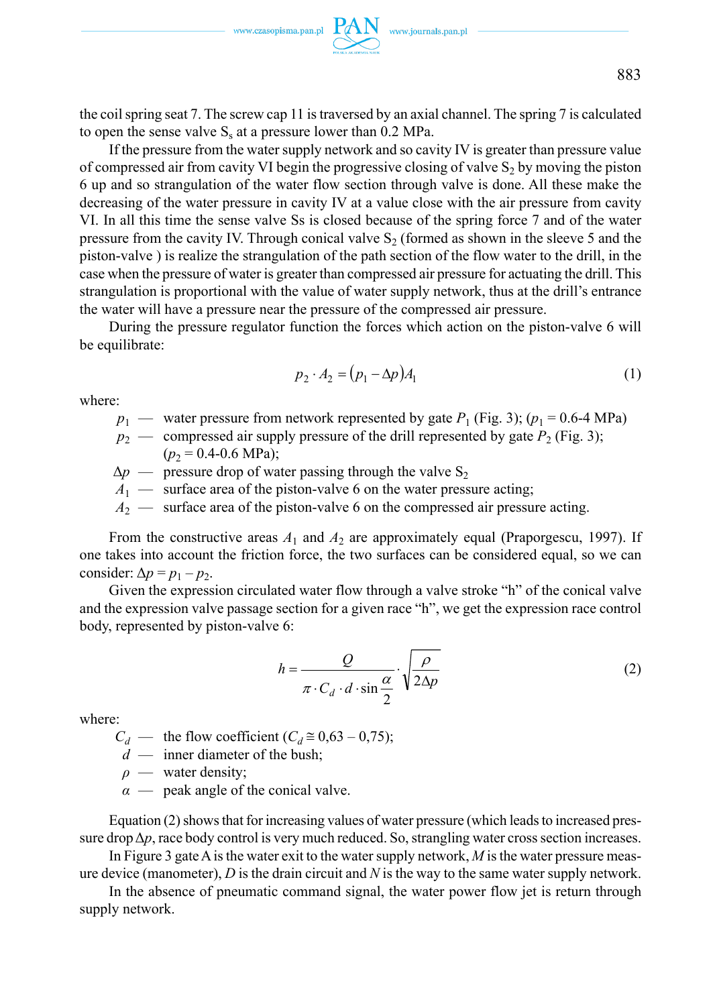the coil spring seat 7. The screw cap 11 is traversed by an axial channel. The spring 7 is calculated to open the sense valve  $S_s$  at a pressure lower than 0.2 MPa.

If the pressure from the water supply network and so cavity IV is greater than pressure value of compressed air from cavity VI begin the progressive closing of valve  $S_2$  by moving the piston 6 up and so strangulation of the water flow section through valve is done. All these make the decreasing of the water pressure in cavity IV at a value close with the air pressure from cavity VI. In all this time the sense valve Ss is closed because of the spring force 7 and of the water pressure from the cavity IV. Through conical valve  $S<sub>2</sub>$  (formed as shown in the sleeve 5 and the piston-valve ) is realize the strangulation of the path section of the flow water to the drill, in the case when the pressure of water is greater than compressed air pressure for actuating the drill. This strangulation is proportional with the value of water supply network, thus at the drill's entrance the water will have a pressure near the pressure of the compressed air pressure.

During the pressure regulator function the forces which action on the piston-valve 6 will be equilibrate:

$$
p_2 \cdot A_2 = (p_1 - \Delta p) A_1 \tag{1}
$$

where:

- $p_1$  water pressure from network represented by gate  $P_1$  (Fig. 3); ( $p_1$  = 0.6-4 MPa)
- $p_2$  compressed air supply pressure of the drill represented by gate  $P_2$  (Fig. 3);  $(p_2 = 0.4 - 0.6 \text{ MPa})$ ;
- $\Delta p$  pressure drop of water passing through the valve S<sub>2</sub>
- $A_1$  surface area of the piston-valve 6 on the water pressure acting;
- *A*2 surface area of the piston-valve 6 on the compressed air pressure acting.

From the constructive areas  $A_1$  and  $A_2$  are approximately equal (Praporgescu, 1997). If one takes into account the friction force, the two surfaces can be considered equal, so we can consider:  $\Delta p = p_1 - p_2$ .

Given the expression circulated water flow through a valve stroke "h" of the conical valve and the expression valve passage section for a given race "h", we get the expression race control body, represented by piston-valve 6:

$$
h = \frac{Q}{\pi \cdot C_d \cdot d \cdot \sin \frac{\alpha}{2}} \cdot \sqrt{\frac{\rho}{2\Delta p}}
$$
 (2)

where:

 $C_d$  — the flow coefficient ( $C_d \approx 0.63 - 0.75$ );

- *d* inner diameter of the bush;
- *ρ* water density;
- *α* peak angle of the conical valve.

Equation (2) shows that for increasing values of water pressure (which leads to increased pressure drop  $\Delta p$ , race body control is very much reduced. So, strangling water cross section increases.

In Figure 3 gate A is the water exit to the water supply network, *M* is the water pressure measure device (manometer), *D* is the drain circuit and *N* is the way to the same water supply network.

In the absence of pneumatic command signal, the water power flow jet is return through supply network.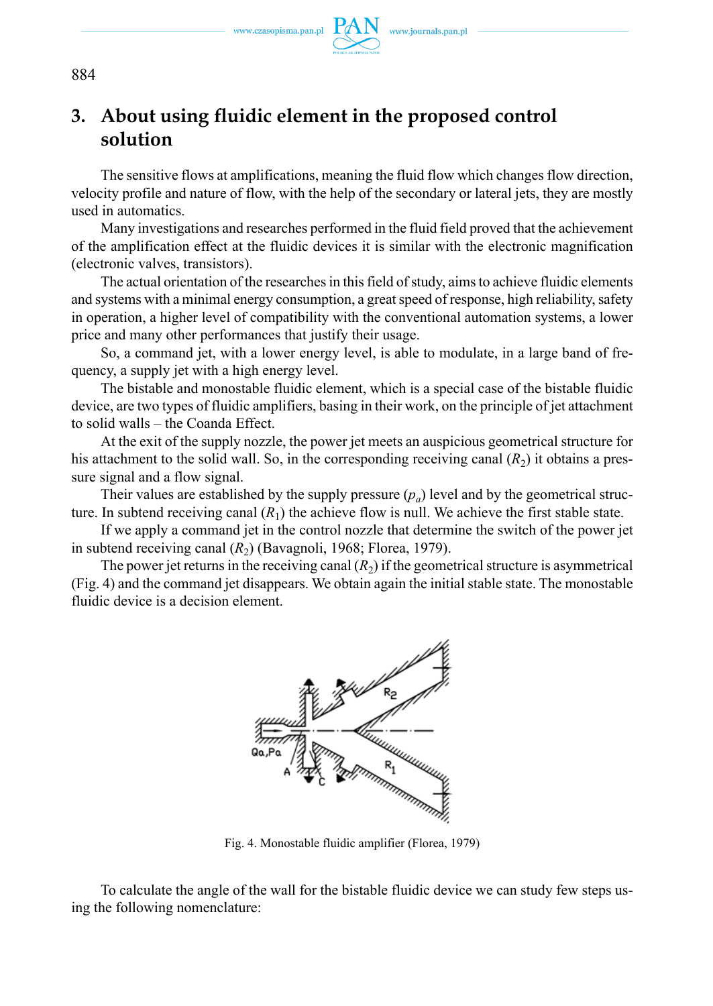www.czasopisma.pan.pl



**3. About using fluidic element in the proposed control solution**

The sensitive flows at amplifications, meaning the fluid flow which changes flow direction, velocity profile and nature of flow, with the help of the secondary or lateral jets, they are mostly used in automatics.

Many investigations and researches performed in the fluid field proved that the achievement of the amplification effect at the fluidic devices it is similar with the electronic magnification (electronic valves, transistors).

The actual orientation of the researches in this field of study, aims to achieve fluidic elements and systems with a minimal energy consumption, a great speed of response, high reliability, safety in operation, a higher level of compatibility with the conventional automation systems, a lower price and many other performances that justify their usage.

So, a command jet, with a lower energy level, is able to modulate, in a large band of frequency, a supply jet with a high energy level.

The bistable and monostable fluidic element, which is a special case of the bistable fluidic device, are two types of fluidic amplifiers, basing in their work, on the principle of jet attachment to solid walls – the Coanda Effect.

At the exit of the supply nozzle, the power jet meets an auspicious geometrical structure for his attachment to the solid wall. So, in the corresponding receiving canal  $(R<sub>2</sub>)$  it obtains a pressure signal and a flow signal.

Their values are established by the supply pressure  $(p_a)$  level and by the geometrical structure. In subtend receiving canal  $(R_1)$  the achieve flow is null. We achieve the first stable state.

If we apply a command jet in the control nozzle that determine the switch of the power jet in subtend receiving canal  $(R<sub>2</sub>)$  (Bavagnoli, 1968; Florea, 1979).

The power jet returns in the receiving canal  $(R<sub>2</sub>)$  if the geometrical structure is asymmetrical (Fig. 4) and the command jet disappears. We obtain again the initial stable state. The monostable fluidic device is a decision element.



Fig. 4. Monostable fluidic amplifier (Florea, 1979)

To calculate the angle of the wall for the bistable fluidic device we can study few steps using the following nomenclature: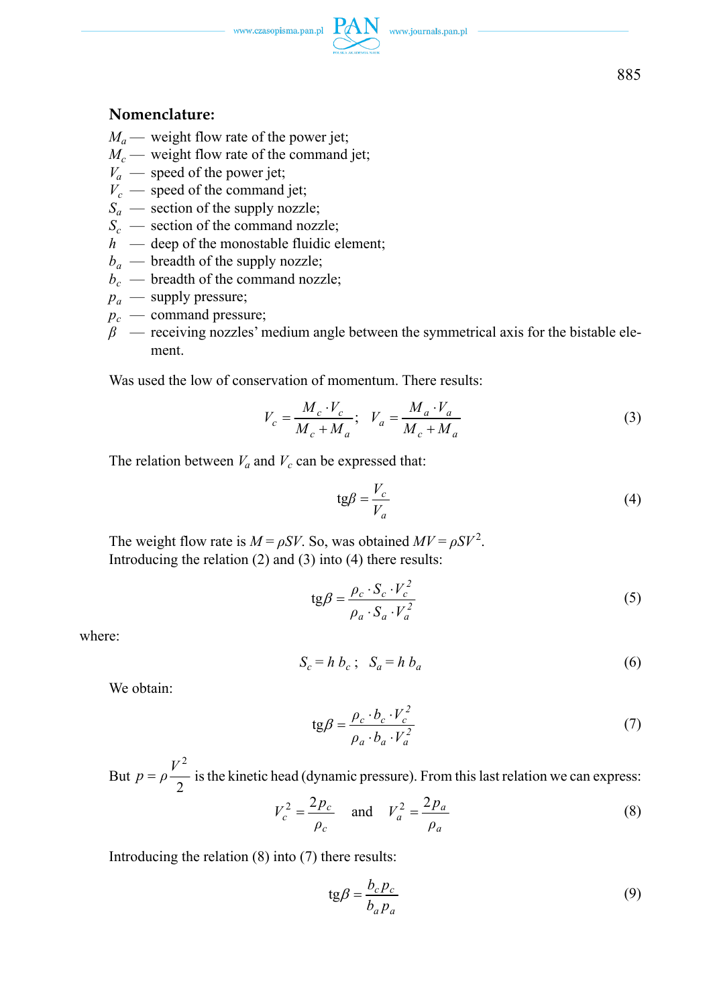$\begin{picture}(120,110) \put(0,0){\vector(1,0){100}} \put(15,0){\vector(1,0){100}} \put(15,0){\vector(1,0){100}} \put(15,0){\vector(1,0){100}} \put(15,0){\vector(1,0){100}} \put(15,0){\vector(1,0){100}} \put(15,0){\vector(1,0){100}} \put(15,0){\vector(1,0){100}} \put(15,0){\vector(1,0){100}} \put(15,0){\vector(1,0){100}} \put(15,0){\vector(1,0){100$ 

### **Nomenclature:**

- $M_a$  weight flow rate of the power jet;
- $M_c$  weight flow rate of the command jet;
- $V_a$  speed of the power jet;
- $V_c$  speed of the command jet;
- $S_a$  section of the supply nozzle;
- $S_c$  section of the command nozzle;
- $h$  deep of the monostable fluidic element;
- $b_a$  breadth of the supply nozzle;
- $b_c$  breadth of the command nozzle;
- $p_a$  supply pressure;
- $p_c$  command pressure;
- $\beta$  receiving nozzles' medium angle between the symmetrical axis for the bistable element.

Was used the low of conservation of momentum. There results:

$$
V_c = \frac{M_c \cdot V_c}{M_c + M_a}; \quad V_a = \frac{M_a \cdot V_a}{M_c + M_a}
$$
\n
$$
(3)
$$

The relation between  $V_a$  and  $V_c$  can be expressed that:

$$
tg\beta = \frac{V_c}{V_a} \tag{4}
$$

The weight flow rate is  $M = \rho SV$ . So, was obtained  $MV = \rho SV^2$ . Introducing the relation (2) and (3) into (4) there results:

$$
tg\beta = \frac{\rho_c \cdot S_c \cdot V_c^2}{\rho_a \cdot S_a \cdot V_a^2}
$$
 (5)

where:

$$
S_c = h b_c; \quad S_a = h b_a \tag{6}
$$

We obtain:

$$
tg\beta = \frac{\rho_c \cdot b_c \cdot V_c^2}{\rho_a \cdot b_a \cdot V_a^2}
$$
 (7)

But  $p = \rho \frac{1}{2}$  $p = \rho \frac{V^2}{2}$  is the kinetic head (dynamic pressure). From this last relation we can express:

$$
V_c^2 = \frac{2p_c}{\rho_c}
$$
 and  $V_a^2 = \frac{2p_a}{\rho_a}$  (8)

Introducing the relation (8) into (7) there results:

$$
tg\beta = \frac{b_c p_c}{b_a p_a} \tag{9}
$$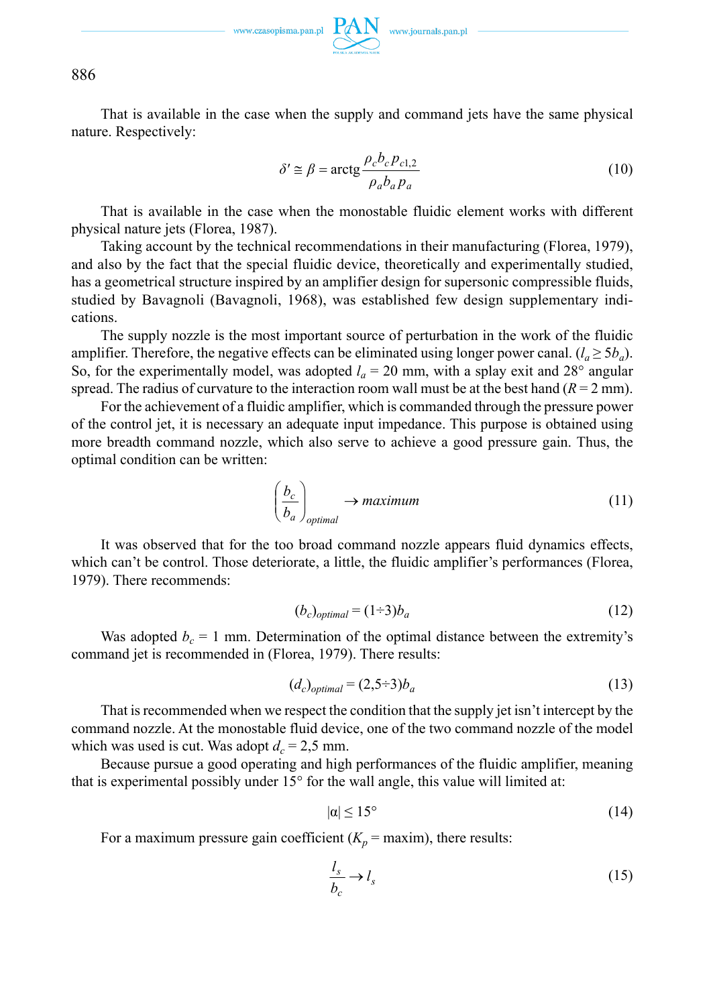886

That is available in the case when the supply and command jets have the same physical nature. Respectively:

$$
\delta' \cong \beta = \arctg \frac{\rho_c b_c p_{c1,2}}{\rho_a b_a p_a} \tag{10}
$$

That is available in the case when the monostable fluidic element works with different physical nature jets (Florea, 1987).

Taking account by the technical recommendations in their manufacturing (Florea, 1979), and also by the fact that the special fluidic device, theoretically and experimentally studied, has a geometrical structure inspired by an amplifier design for supersonic compressible fluids, studied by Bavagnoli (Bavagnoli, 1968), was established few design supplementary indications.

The supply nozzle is the most important source of perturbation in the work of the fluidic amplifier. Therefore, the negative effects can be eliminated using longer power canal.  $(l_a \geq 5b_a)$ . So, for the experimentally model, was adopted  $l_a = 20$  mm, with a splay exit and 28° angular spread. The radius of curvature to the interaction room wall must be at the best hand  $(R = 2 \text{ mm})$ .

For the achievement of a fluidic amplifier, which is commanded through the pressure power of the control jet, it is necessary an adequate input impedance. This purpose is obtained using more breadth command nozzle, which also serve to achieve a good pressure gain. Thus, the optimal condition can be written:

$$
\left(\frac{b_c}{b_a}\right)_{\text{optimal}} \to \text{maximum} \tag{11}
$$

It was observed that for the too broad command nozzle appears fluid dynamics effects, which can't be control. Those deteriorate, a little, the fluidic amplifier's performances (Florea, 1979). There recommends:

$$
(b_c)_{optimal} = (1 \div 3)b_a \tag{12}
$$

Was adopted  $b_c = 1$  mm. Determination of the optimal distance between the extremity's command jet is recommended in (Florea, 1979). There results:

$$
(d_c)_{optimal} = (2, 5 \div 3)b_a \tag{13}
$$

That is recommended when we respect the condition that the supply jet isn't intercept by the command nozzle. At the monostable fluid device, one of the two command nozzle of the model which was used is cut. Was adopt  $d_c = 2.5$  mm.

Because pursue a good operating and high performances of the fluidic amplifier, meaning that is experimental possibly under 15° for the wall angle, this value will limited at:

$$
|\alpha| \le 15^{\circ} \tag{14}
$$

For a maximum pressure gain coefficient  $(K_p = \text{maxim})$ , there results:

$$
\frac{l_s}{b_c} \to l_s \tag{15}
$$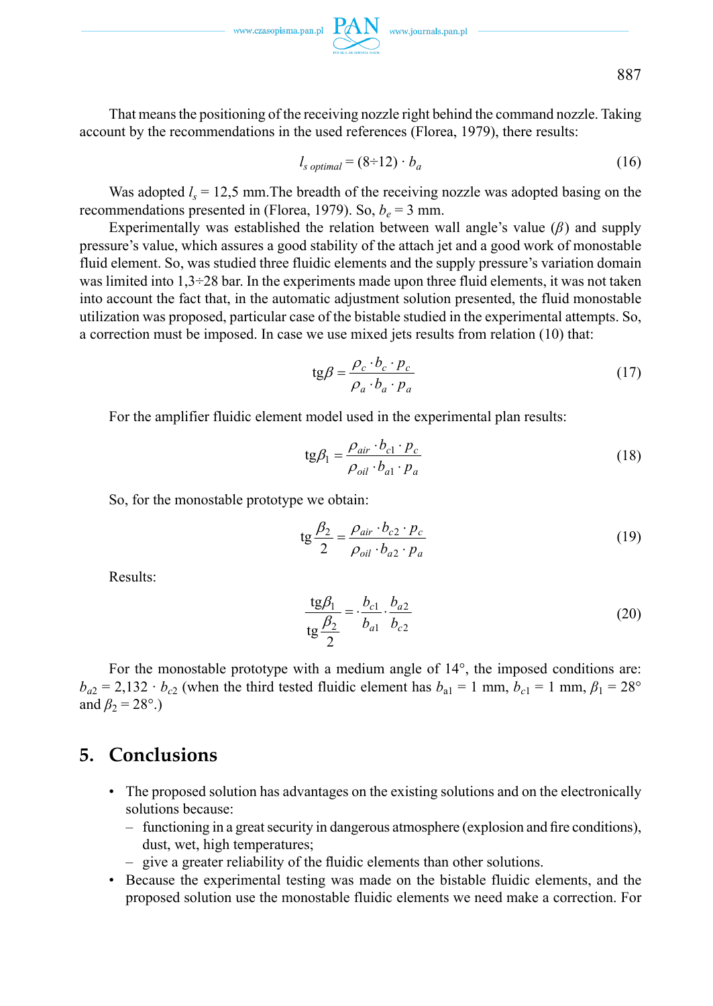$\hspace*{2.5cm}\text{www.czasopisma.pan.pl}\ \underset{\hspace{2.2cm}\longrightarrow\hspace{2.2cm} }{P\hspace{-0.2cm}\not\!\!\!\!\! A N}\quad \text{www.journals.pan.pl}$ 



That means the positioning of the receiving nozzle right behind the command nozzle. Taking account by the recommendations in the used references (Florea, 1979), there results:

$$
l_{s\ optimal} = (8-12) \cdot b_a \tag{16}
$$

Was adopted  $l_s = 12.5$  mm. The breadth of the receiving nozzle was adopted basing on the recommendations presented in (Florea, 1979). So,  $b_e = 3$  mm.

Experimentally was established the relation between wall angle's value (*β*) and supply pressure's value, which assures a good stability of the attach jet and a good work of monostable fluid element. So, was studied three fluidic elements and the supply pressure's variation domain was limited into  $1,3\div 28$  bar. In the experiments made upon three fluid elements, it was not taken into account the fact that, in the automatic adjustment solution presented, the fluid monostable utilization was proposed, particular case of the bistable studied in the experimental attempts. So, a correction must be imposed. In case we use mixed jets results from relation (10) that:

$$
tg\beta = \frac{\rho_c \cdot b_c \cdot p_c}{\rho_a \cdot b_a \cdot p_a} \tag{17}
$$

For the amplifier fluidic element model used in the experimental plan results:

$$
tg\beta_1 = \frac{\rho_{air} \cdot b_{c1} \cdot p_c}{\rho_{oil} \cdot b_{a1} \cdot p_a}
$$
 (18)

So, for the monostable prototype we obtain:

$$
tg\frac{\beta_2}{2} = \frac{\rho_{air} \cdot b_{c2} \cdot p_c}{\rho_{oil} \cdot b_{a2} \cdot p_a}
$$
 (19)

Results:

$$
\frac{\text{tg}\beta_1}{\text{tg}\frac{\beta_2}{2}} = \frac{b_{c1}}{b_{a1}} \cdot \frac{b_{a2}}{b_{c2}}
$$
 (20)

For the monostable prototype with a medium angle of 14°, the imposed conditions are:  $b_{a2} = 2{,}132 \cdot b_{c2}$  (when the third tested fluidic element has  $b_{a1} = 1$  mm,  $b_{c1} = 1$  mm,  $\beta_1 = 28^\circ$ and  $\beta_2$  = 28°.)

## **5. Conclusions**

- The proposed solution has advantages on the existing solutions and on the electronically solutions because:
	- $-$  functioning in a great security in dangerous atmosphere (explosion and fire conditions), dust, wet, high temperatures;
	- give a greater reliability of the fluidic elements than other solutions.
- Because the experimental testing was made on the bistable fluidic elements, and the proposed solution use the monostable fluidic elements we need make a correction. For